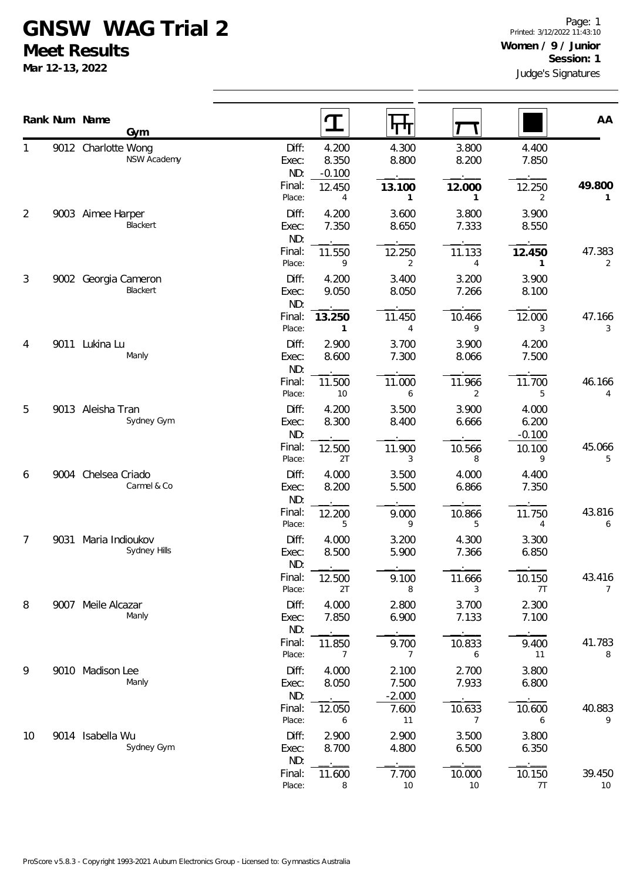## **GNSW WAG Trial 2**

**Meet Results**

**Mar 12-13, 2022**

|    |      | Rank Num Name<br>Gym                      |                                 | $\mathbf T$                | पाप                                 |                          |                            | AA                       |
|----|------|-------------------------------------------|---------------------------------|----------------------------|-------------------------------------|--------------------------|----------------------------|--------------------------|
|    |      | 9012 Charlotte Wong<br><b>NSW Academy</b> | Diff:<br>Exec:<br>ND:           | 4.200<br>8.350<br>$-0.100$ | 4.300<br>8.800                      | 3.800<br>8.200           | 4.400<br>7.850             |                          |
|    |      |                                           | Final:<br>Place:                | 12.450<br>4                | 13.100<br>1                         | 12.000<br>1              | 12.250<br>2                | 49.800<br>1              |
| 2  |      | 9003 Aimee Harper<br>Blackert             | Diff:<br>Exec:<br>ND:           | 4.200<br>7.350             | 3.600<br>8.650                      | 3.800<br>7.333           | 3.900<br>8.550             |                          |
|    |      |                                           | Final:<br>Place:                | 11.550<br>9                | 12.250<br>2                         | 11.133<br>4              | 12.450<br>1                | 47.383<br>2              |
| 3  |      | 9002 Georgia Cameron<br>Blackert          | Diff:<br>Exec:<br>ND:           | 4.200<br>9.050             | 3.400<br>8.050                      | 3.200<br>7.266           | 3.900<br>8.100             |                          |
|    |      |                                           | Final:<br>Place:                | 13.250<br>$\mathbf{1}$     | 11.450<br>$\overline{4}$            | 10.466<br>9              | 12.000<br>3                | 47.166<br>3              |
| 4  |      | 9011 Lukina Lu<br>Manly                   | Diff:<br>Exec:<br>ND:           | 2.900<br>8.600             | 3.700<br>7.300                      | 3.900<br>8.066           | 4.200<br>7.500             |                          |
|    |      |                                           | Final:<br>Place:                | 11.500<br>10               | 11.000<br>6                         | 11.966<br>2              | 11.700<br>5                | 46.166<br>4              |
| 5  |      | 9013 Aleisha Tran<br>Sydney Gym           | Diff:<br>Exec:<br>ND:           | 4.200<br>8.300             | 3.500<br>8.400                      | 3.900<br>6.666           | 4.000<br>6.200<br>$-0.100$ |                          |
|    |      |                                           | Final:<br>Place:                | 12.500<br>2T               | 11.900<br>3                         | 10.566<br>8              | 10.100<br>9                | 45.066<br>5              |
| 6  | 9004 | Chelsea Criado<br>Carmel & Co             | Diff:<br>Exec:<br>ND:           | 4.000<br>8.200             | 3.500<br>5.500                      | 4.000<br>6.866           | 4.400<br>7.350             |                          |
|    |      |                                           | Final:<br>Place:                | 12.200<br>5                | 9.000<br>9                          | 10.866<br>5              | 11.750<br>4                | 43.816<br>6              |
| 7  | 9031 | Maria Indioukov<br>Sydney Hills           | Diff:<br>Exec:<br>ND:           | 4.000<br>8.500             | 3.200<br>5.900                      | 4.300<br>7.366           | 3.300<br>6.850             |                          |
|    |      |                                           | Final:<br>Place:                | 12.500<br>2T               | 9.100<br>8                          | 11.666<br>3              | 10.150<br>7T               | 43.416<br>$\overline{7}$ |
| 8  |      | 9007 Meile Alcazar<br>Manly               | Diff:<br>Exec:<br>ND:           | 4.000<br>7.850             | 2.800<br>6.900                      | 3.700<br>7.133           | 2.300<br>7.100             |                          |
|    |      |                                           | Final:<br>Place:                | 11.850<br>7                | 9.700<br>7                          | 10.833<br>6              | 9.400<br>11                | 41.783<br>8              |
| 9  |      | 9010 Madison Lee<br>Manly                 | Diff:<br>Exec:<br>ND:<br>Final: | 4.000<br>8.050<br>12.050   | 2.100<br>7.500<br>$-2.000$<br>7.600 | 2.700<br>7.933<br>10.633 | 3.800<br>6.800<br>10.600   | 40.883                   |
| 10 |      | 9014 Isabella Wu                          | Place:<br>Diff:                 | 6<br>2.900                 | 11<br>2.900                         | $\overline{7}$<br>3.500  | 6<br>3.800                 | 9                        |
|    |      | Sydney Gym                                | Exec:<br>ND:                    | 8.700                      | 4.800                               | 6.500                    | 6.350                      |                          |
|    |      |                                           | Final:<br>Place:                | 11.600<br>8                | 7.700<br>10                         | 10.000<br>10             | 10.150<br>7T               | 39.450<br>10             |